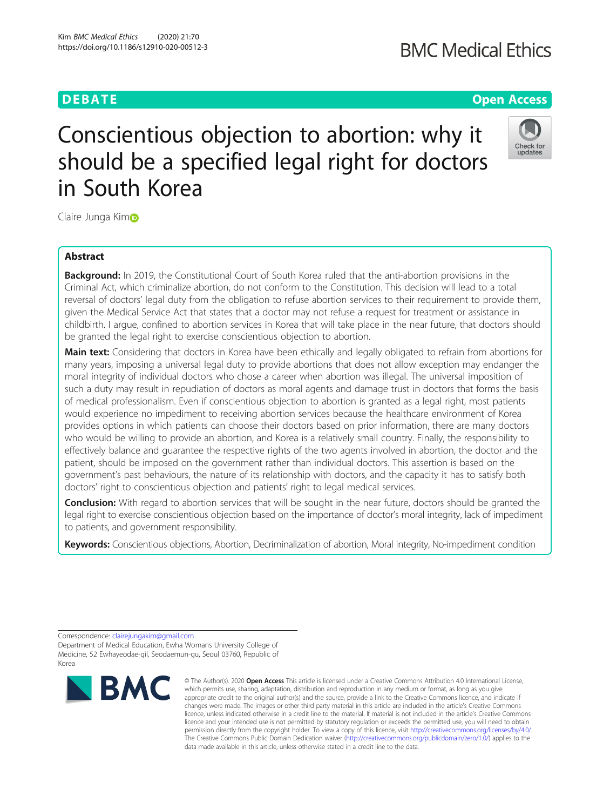# **BMC Medical Ethics**

# **DEBATE CONSERVATION CONSERVATION CONSERVATION CONSERVATION CONSERVATION CONSERVATION CONSERVATION CONSERVATION**

# Conscientious objection to abortion: why it should be a specified legal right for doctors in South Korea



Claire Junga Kimo

# Abstract

**Background:** In 2019, the Constitutional Court of South Korea ruled that the anti-abortion provisions in the Criminal Act, which criminalize abortion, do not conform to the Constitution. This decision will lead to a total reversal of doctors' legal duty from the obligation to refuse abortion services to their requirement to provide them, given the Medical Service Act that states that a doctor may not refuse a request for treatment or assistance in childbirth. I argue, confined to abortion services in Korea that will take place in the near future, that doctors should be granted the legal right to exercise conscientious objection to abortion.

Main text: Considering that doctors in Korea have been ethically and legally obligated to refrain from abortions for many years, imposing a universal legal duty to provide abortions that does not allow exception may endanger the moral integrity of individual doctors who chose a career when abortion was illegal. The universal imposition of such a duty may result in repudiation of doctors as moral agents and damage trust in doctors that forms the basis of medical professionalism. Even if conscientious objection to abortion is granted as a legal right, most patients would experience no impediment to receiving abortion services because the healthcare environment of Korea provides options in which patients can choose their doctors based on prior information, there are many doctors who would be willing to provide an abortion, and Korea is a relatively small country. Finally, the responsibility to effectively balance and guarantee the respective rights of the two agents involved in abortion, the doctor and the patient, should be imposed on the government rather than individual doctors. This assertion is based on the government's past behaviours, the nature of its relationship with doctors, and the capacity it has to satisfy both doctors' right to conscientious objection and patients' right to legal medical services.

Conclusion: With regard to abortion services that will be sought in the near future, doctors should be granted the legal right to exercise conscientious objection based on the importance of doctor's moral integrity, lack of impediment to patients, and government responsibility.

Keywords: Conscientious objections, Abortion, Decriminalization of abortion, Moral integrity, No-impediment condition

Correspondence: [clairejungakim@gmail.com](mailto:clairejungakim@gmail.com)

Department of Medical Education, Ewha Womans University College of Medicine, 52 Ewhayeodae-gil, Seodaemun-gu, Seoul 03760, Republic of Korea



<sup>©</sup> The Author(s), 2020 **Open Access** This article is licensed under a Creative Commons Attribution 4.0 International License, which permits use, sharing, adaptation, distribution and reproduction in any medium or format, as long as you give appropriate credit to the original author(s) and the source, provide a link to the Creative Commons licence, and indicate if changes were made. The images or other third party material in this article are included in the article's Creative Commons licence, unless indicated otherwise in a credit line to the material. If material is not included in the article's Creative Commons licence and your intended use is not permitted by statutory regulation or exceeds the permitted use, you will need to obtain permission directly from the copyright holder. To view a copy of this licence, visit [http://creativecommons.org/licenses/by/4.0/.](http://creativecommons.org/licenses/by/4.0/) The Creative Commons Public Domain Dedication waiver [\(http://creativecommons.org/publicdomain/zero/1.0/](http://creativecommons.org/publicdomain/zero/1.0/)) applies to the data made available in this article, unless otherwise stated in a credit line to the data.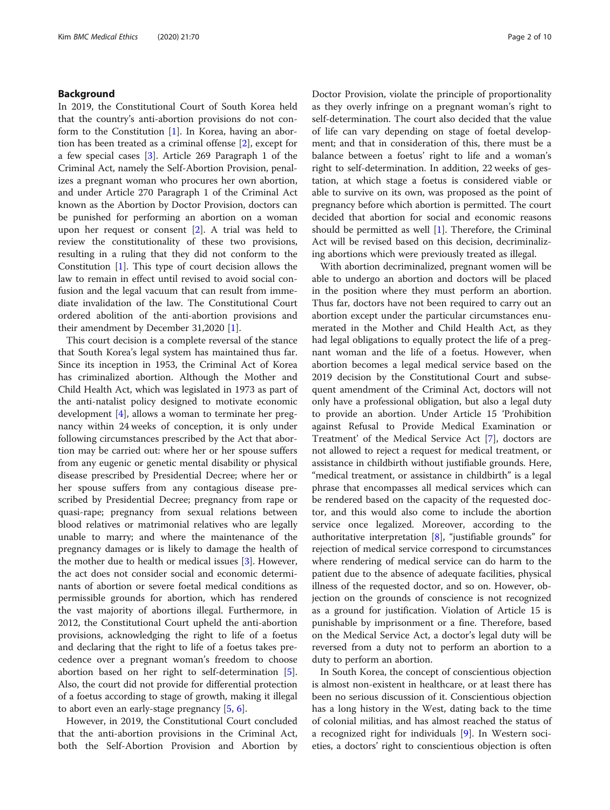# Background

In 2019, the Constitutional Court of South Korea held that the country's anti-abortion provisions do not conform to the Constitution  $[1]$  $[1]$ . In Korea, having an abortion has been treated as a criminal offense [\[2](#page-8-0)], except for a few special cases [\[3](#page-8-0)]. Article 269 Paragraph 1 of the Criminal Act, namely the Self-Abortion Provision, penalizes a pregnant woman who procures her own abortion, and under Article 270 Paragraph 1 of the Criminal Act known as the Abortion by Doctor Provision, doctors can be punished for performing an abortion on a woman upon her request or consent [\[2](#page-8-0)]. A trial was held to review the constitutionality of these two provisions, resulting in a ruling that they did not conform to the Constitution [\[1](#page-8-0)]. This type of court decision allows the law to remain in effect until revised to avoid social confusion and the legal vacuum that can result from immediate invalidation of the law. The Constitutional Court ordered abolition of the anti-abortion provisions and their amendment by December 31,2020 [\[1](#page-8-0)].

This court decision is a complete reversal of the stance that South Korea's legal system has maintained thus far. Since its inception in 1953, the Criminal Act of Korea has criminalized abortion. Although the Mother and Child Health Act, which was legislated in 1973 as part of the anti-natalist policy designed to motivate economic development [[4\]](#page-8-0), allows a woman to terminate her pregnancy within 24 weeks of conception, it is only under following circumstances prescribed by the Act that abortion may be carried out: where her or her spouse suffers from any eugenic or genetic mental disability or physical disease prescribed by Presidential Decree; where her or her spouse suffers from any contagious disease prescribed by Presidential Decree; pregnancy from rape or quasi-rape; pregnancy from sexual relations between blood relatives or matrimonial relatives who are legally unable to marry; and where the maintenance of the pregnancy damages or is likely to damage the health of the mother due to health or medical issues [[3\]](#page-8-0). However, the act does not consider social and economic determinants of abortion or severe foetal medical conditions as permissible grounds for abortion, which has rendered the vast majority of abortions illegal. Furthermore, in 2012, the Constitutional Court upheld the anti-abortion provisions, acknowledging the right to life of a foetus and declaring that the right to life of a foetus takes precedence over a pregnant woman's freedom to choose abortion based on her right to self-determination [\[5](#page-8-0)]. Also, the court did not provide for differential protection of a foetus according to stage of growth, making it illegal to abort even an early-stage pregnancy [\[5](#page-8-0), [6](#page-8-0)].

However, in 2019, the Constitutional Court concluded that the anti-abortion provisions in the Criminal Act, both the Self-Abortion Provision and Abortion by Doctor Provision, violate the principle of proportionality as they overly infringe on a pregnant woman's right to self-determination. The court also decided that the value of life can vary depending on stage of foetal development; and that in consideration of this, there must be a balance between a foetus' right to life and a woman's right to self-determination. In addition, 22 weeks of gestation, at which stage a foetus is considered viable or able to survive on its own, was proposed as the point of pregnancy before which abortion is permitted. The court decided that abortion for social and economic reasons should be permitted as well [[1](#page-8-0)]. Therefore, the Criminal Act will be revised based on this decision, decriminalizing abortions which were previously treated as illegal.

With abortion decriminalized, pregnant women will be able to undergo an abortion and doctors will be placed in the position where they must perform an abortion. Thus far, doctors have not been required to carry out an abortion except under the particular circumstances enumerated in the Mother and Child Health Act, as they had legal obligations to equally protect the life of a pregnant woman and the life of a foetus. However, when abortion becomes a legal medical service based on the 2019 decision by the Constitutional Court and subsequent amendment of the Criminal Act, doctors will not only have a professional obligation, but also a legal duty to provide an abortion. Under Article 15 'Prohibition against Refusal to Provide Medical Examination or Treatment' of the Medical Service Act [[7](#page-8-0)], doctors are not allowed to reject a request for medical treatment, or assistance in childbirth without justifiable grounds. Here, "medical treatment, or assistance in childbirth" is a legal phrase that encompasses all medical services which can be rendered based on the capacity of the requested doctor, and this would also come to include the abortion service once legalized. Moreover, according to the authoritative interpretation  $[8]$  $[8]$ , "justifiable grounds" for rejection of medical service correspond to circumstances where rendering of medical service can do harm to the patient due to the absence of adequate facilities, physical illness of the requested doctor, and so on. However, objection on the grounds of conscience is not recognized as a ground for justification. Violation of Article 15 is punishable by imprisonment or a fine. Therefore, based on the Medical Service Act, a doctor's legal duty will be reversed from a duty not to perform an abortion to a duty to perform an abortion.

In South Korea, the concept of conscientious objection is almost non-existent in healthcare, or at least there has been no serious discussion of it. Conscientious objection has a long history in the West, dating back to the time of colonial militias, and has almost reached the status of a recognized right for individuals [[9\]](#page-8-0). In Western societies, a doctors' right to conscientious objection is often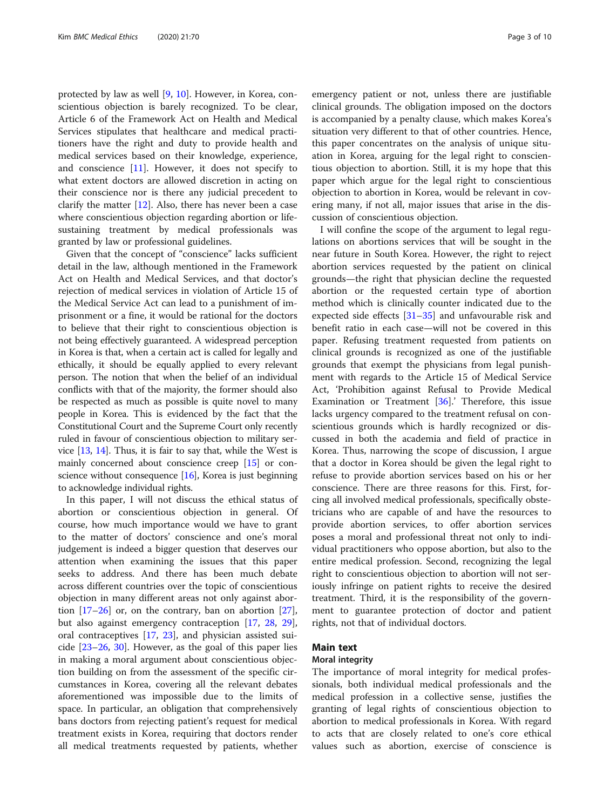protected by law as well [[9,](#page-8-0) [10\]](#page-8-0). However, in Korea, conscientious objection is barely recognized. To be clear, Article 6 of the Framework Act on Health and Medical Services stipulates that healthcare and medical practitioners have the right and duty to provide health and medical services based on their knowledge, experience, and conscience  $[11]$ . However, it does not specify to what extent doctors are allowed discretion in acting on their conscience nor is there any judicial precedent to clarify the matter [\[12](#page-8-0)]. Also, there has never been a case where conscientious objection regarding abortion or lifesustaining treatment by medical professionals was granted by law or professional guidelines.

Given that the concept of "conscience" lacks sufficient detail in the law, although mentioned in the Framework Act on Health and Medical Services, and that doctor's rejection of medical services in violation of Article 15 of the Medical Service Act can lead to a punishment of imprisonment or a fine, it would be rational for the doctors to believe that their right to conscientious objection is not being effectively guaranteed. A widespread perception in Korea is that, when a certain act is called for legally and ethically, it should be equally applied to every relevant person. The notion that when the belief of an individual conflicts with that of the majority, the former should also be respected as much as possible is quite novel to many people in Korea. This is evidenced by the fact that the Constitutional Court and the Supreme Court only recently ruled in favour of conscientious objection to military service [[13](#page-8-0), [14](#page-8-0)]. Thus, it is fair to say that, while the West is mainly concerned about conscience creep [\[15\]](#page-8-0) or conscience without consequence  $[16]$  $[16]$  $[16]$ , Korea is just beginning to acknowledge individual rights.

In this paper, I will not discuss the ethical status of abortion or conscientious objection in general. Of course, how much importance would we have to grant to the matter of doctors' conscience and one's moral judgement is indeed a bigger question that deserves our attention when examining the issues that this paper seeks to address. And there has been much debate across different countries over the topic of conscientious objection in many different areas not only against abortion  $[17-26]$  $[17-26]$  $[17-26]$  or, on the contrary, ban on abortion  $[27]$  $[27]$ , but also against emergency contraception [[17,](#page-8-0) [28](#page-8-0), [29](#page-8-0)], oral contraceptives [[17,](#page-8-0) [23\]](#page-8-0), and physician assisted suicide [[23](#page-8-0)–[26,](#page-8-0) [30](#page-8-0)]. However, as the goal of this paper lies in making a moral argument about conscientious objection building on from the assessment of the specific circumstances in Korea, covering all the relevant debates aforementioned was impossible due to the limits of space. In particular, an obligation that comprehensively bans doctors from rejecting patient's request for medical treatment exists in Korea, requiring that doctors render all medical treatments requested by patients, whether

emergency patient or not, unless there are justifiable clinical grounds. The obligation imposed on the doctors is accompanied by a penalty clause, which makes Korea's situation very different to that of other countries. Hence, this paper concentrates on the analysis of unique situation in Korea, arguing for the legal right to conscientious objection to abortion. Still, it is my hope that this paper which argue for the legal right to conscientious objection to abortion in Korea, would be relevant in covering many, if not all, major issues that arise in the discussion of conscientious objection.

I will confine the scope of the argument to legal regulations on abortions services that will be sought in the near future in South Korea. However, the right to reject abortion services requested by the patient on clinical grounds—the right that physician decline the requested abortion or the requested certain type of abortion method which is clinically counter indicated due to the expected side effects [[31](#page-8-0)–[35](#page-8-0)] and unfavourable risk and benefit ratio in each case—will not be covered in this paper. Refusing treatment requested from patients on clinical grounds is recognized as one of the justifiable grounds that exempt the physicians from legal punishment with regards to the Article 15 of Medical Service Act, 'Prohibition against Refusal to Provide Medical Examination or Treatment [[36\]](#page-8-0).' Therefore, this issue lacks urgency compared to the treatment refusal on conscientious grounds which is hardly recognized or discussed in both the academia and field of practice in Korea. Thus, narrowing the scope of discussion, I argue that a doctor in Korea should be given the legal right to refuse to provide abortion services based on his or her conscience. There are three reasons for this. First, forcing all involved medical professionals, specifically obstetricians who are capable of and have the resources to provide abortion services, to offer abortion services poses a moral and professional threat not only to individual practitioners who oppose abortion, but also to the entire medical profession. Second, recognizing the legal right to conscientious objection to abortion will not seriously infringe on patient rights to receive the desired treatment. Third, it is the responsibility of the government to guarantee protection of doctor and patient rights, not that of individual doctors.

## Main text

## Moral integrity

The importance of moral integrity for medical professionals, both individual medical professionals and the medical profession in a collective sense, justifies the granting of legal rights of conscientious objection to abortion to medical professionals in Korea. With regard to acts that are closely related to one's core ethical values such as abortion, exercise of conscience is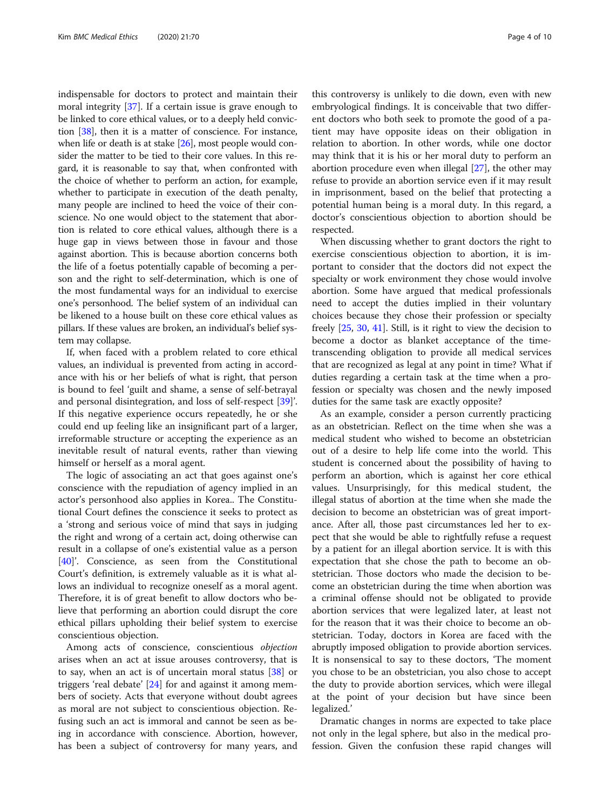indispensable for doctors to protect and maintain their moral integrity [\[37](#page-8-0)]. If a certain issue is grave enough to be linked to core ethical values, or to a deeply held conviction [\[38](#page-8-0)], then it is a matter of conscience. For instance, when life or death is at stake [\[26\]](#page-8-0), most people would consider the matter to be tied to their core values. In this regard, it is reasonable to say that, when confronted with the choice of whether to perform an action, for example, whether to participate in execution of the death penalty, many people are inclined to heed the voice of their conscience. No one would object to the statement that abortion is related to core ethical values, although there is a huge gap in views between those in favour and those against abortion. This is because abortion concerns both the life of a foetus potentially capable of becoming a person and the right to self-determination, which is one of the most fundamental ways for an individual to exercise one's personhood. The belief system of an individual can be likened to a house built on these core ethical values as pillars. If these values are broken, an individual's belief system may collapse.

If, when faced with a problem related to core ethical values, an individual is prevented from acting in accordance with his or her beliefs of what is right, that person is bound to feel 'guilt and shame, a sense of self-betrayal and personal disintegration, and loss of self-respect [\[39](#page-8-0)]'. If this negative experience occurs repeatedly, he or she could end up feeling like an insignificant part of a larger, irreformable structure or accepting the experience as an inevitable result of natural events, rather than viewing himself or herself as a moral agent.

The logic of associating an act that goes against one's conscience with the repudiation of agency implied in an actor's personhood also applies in Korea.. The Constitutional Court defines the conscience it seeks to protect as a 'strong and serious voice of mind that says in judging the right and wrong of a certain act, doing otherwise can result in a collapse of one's existential value as a person [[40\]](#page-9-0)'. Conscience, as seen from the Constitutional Court's definition, is extremely valuable as it is what allows an individual to recognize oneself as a moral agent. Therefore, it is of great benefit to allow doctors who believe that performing an abortion could disrupt the core ethical pillars upholding their belief system to exercise conscientious objection.

Among acts of conscience, conscientious objection arises when an act at issue arouses controversy, that is to say, when an act is of uncertain moral status [[38\]](#page-8-0) or triggers 'real debate' [[24](#page-8-0)] for and against it among members of society. Acts that everyone without doubt agrees as moral are not subject to conscientious objection. Refusing such an act is immoral and cannot be seen as being in accordance with conscience. Abortion, however, has been a subject of controversy for many years, and

this controversy is unlikely to die down, even with new embryological findings. It is conceivable that two different doctors who both seek to promote the good of a patient may have opposite ideas on their obligation in relation to abortion. In other words, while one doctor may think that it is his or her moral duty to perform an abortion procedure even when illegal [\[27\]](#page-8-0), the other may refuse to provide an abortion service even if it may result in imprisonment, based on the belief that protecting a potential human being is a moral duty. In this regard, a doctor's conscientious objection to abortion should be respected.

When discussing whether to grant doctors the right to exercise conscientious objection to abortion, it is important to consider that the doctors did not expect the specialty or work environment they chose would involve abortion. Some have argued that medical professionals need to accept the duties implied in their voluntary choices because they chose their profession or specialty freely [\[25](#page-8-0), [30](#page-8-0), [41\]](#page-9-0). Still, is it right to view the decision to become a doctor as blanket acceptance of the timetranscending obligation to provide all medical services that are recognized as legal at any point in time? What if duties regarding a certain task at the time when a profession or specialty was chosen and the newly imposed duties for the same task are exactly opposite?

As an example, consider a person currently practicing as an obstetrician. Reflect on the time when she was a medical student who wished to become an obstetrician out of a desire to help life come into the world. This student is concerned about the possibility of having to perform an abortion, which is against her core ethical values. Unsurprisingly, for this medical student, the illegal status of abortion at the time when she made the decision to become an obstetrician was of great importance. After all, those past circumstances led her to expect that she would be able to rightfully refuse a request by a patient for an illegal abortion service. It is with this expectation that she chose the path to become an obstetrician. Those doctors who made the decision to become an obstetrician during the time when abortion was a criminal offense should not be obligated to provide abortion services that were legalized later, at least not for the reason that it was their choice to become an obstetrician. Today, doctors in Korea are faced with the abruptly imposed obligation to provide abortion services. It is nonsensical to say to these doctors, 'The moment you chose to be an obstetrician, you also chose to accept the duty to provide abortion services, which were illegal at the point of your decision but have since been legalized.'

Dramatic changes in norms are expected to take place not only in the legal sphere, but also in the medical profession. Given the confusion these rapid changes will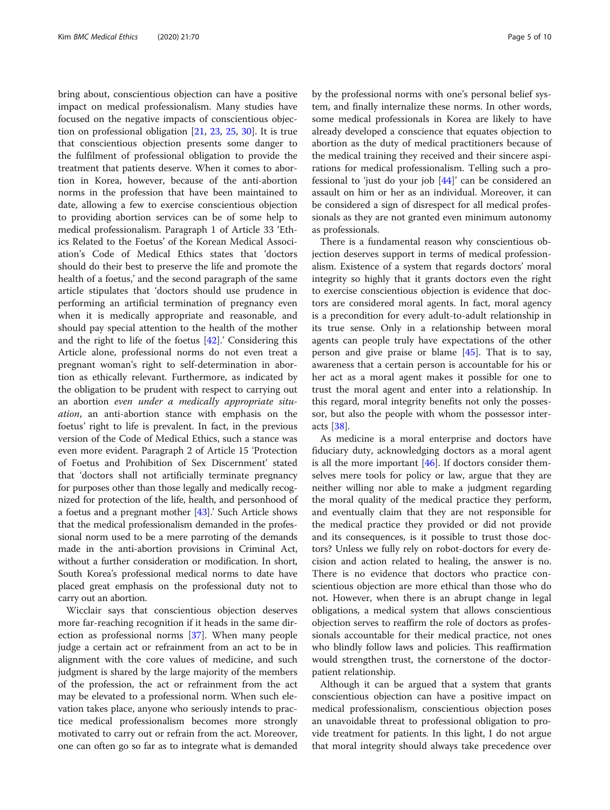bring about, conscientious objection can have a positive impact on medical professionalism. Many studies have focused on the negative impacts of conscientious objection on professional obligation [[21,](#page-8-0) [23,](#page-8-0) [25](#page-8-0), [30\]](#page-8-0). It is true that conscientious objection presents some danger to the fulfilment of professional obligation to provide the treatment that patients deserve. When it comes to abortion in Korea, however, because of the anti-abortion norms in the profession that have been maintained to date, allowing a few to exercise conscientious objection to providing abortion services can be of some help to medical professionalism. Paragraph 1 of Article 33 'Ethics Related to the Foetus' of the Korean Medical Association's Code of Medical Ethics states that 'doctors should do their best to preserve the life and promote the health of a foetus,' and the second paragraph of the same article stipulates that 'doctors should use prudence in performing an artificial termination of pregnancy even when it is medically appropriate and reasonable, and should pay special attention to the health of the mother and the right to life of the foetus  $[42]$  $[42]$ .' Considering this Article alone, professional norms do not even treat a pregnant woman's right to self-determination in abortion as ethically relevant. Furthermore, as indicated by the obligation to be prudent with respect to carrying out an abortion even under a medically appropriate situation, an anti-abortion stance with emphasis on the foetus' right to life is prevalent. In fact, in the previous version of the Code of Medical Ethics, such a stance was even more evident. Paragraph 2 of Article 15 'Protection of Foetus and Prohibition of Sex Discernment' stated that 'doctors shall not artificially terminate pregnancy for purposes other than those legally and medically recognized for protection of the life, health, and personhood of a foetus and a pregnant mother [[43](#page-9-0)].' Such Article shows that the medical professionalism demanded in the professional norm used to be a mere parroting of the demands made in the anti-abortion provisions in Criminal Act, without a further consideration or modification. In short, South Korea's professional medical norms to date have placed great emphasis on the professional duty not to carry out an abortion.

Wicclair says that conscientious objection deserves more far-reaching recognition if it heads in the same direction as professional norms [[37\]](#page-8-0). When many people judge a certain act or refrainment from an act to be in alignment with the core values of medicine, and such judgment is shared by the large majority of the members of the profession, the act or refrainment from the act may be elevated to a professional norm. When such elevation takes place, anyone who seriously intends to practice medical professionalism becomes more strongly motivated to carry out or refrain from the act. Moreover, one can often go so far as to integrate what is demanded by the professional norms with one's personal belief system, and finally internalize these norms. In other words, some medical professionals in Korea are likely to have already developed a conscience that equates objection to abortion as the duty of medical practitioners because of the medical training they received and their sincere aspirations for medical professionalism. Telling such a professional to 'just do your job [\[44](#page-9-0)]' can be considered an assault on him or her as an individual. Moreover, it can be considered a sign of disrespect for all medical professionals as they are not granted even minimum autonomy as professionals.

There is a fundamental reason why conscientious objection deserves support in terms of medical professionalism. Existence of a system that regards doctors' moral integrity so highly that it grants doctors even the right to exercise conscientious objection is evidence that doctors are considered moral agents. In fact, moral agency is a precondition for every adult-to-adult relationship in its true sense. Only in a relationship between moral agents can people truly have expectations of the other person and give praise or blame  $[45]$  $[45]$ . That is to say, awareness that a certain person is accountable for his or her act as a moral agent makes it possible for one to trust the moral agent and enter into a relationship. In this regard, moral integrity benefits not only the possessor, but also the people with whom the possessor interacts [[38](#page-8-0)].

As medicine is a moral enterprise and doctors have fiduciary duty, acknowledging doctors as a moral agent is all the more important  $[46]$  $[46]$ . If doctors consider themselves mere tools for policy or law, argue that they are neither willing nor able to make a judgment regarding the moral quality of the medical practice they perform, and eventually claim that they are not responsible for the medical practice they provided or did not provide and its consequences, is it possible to trust those doctors? Unless we fully rely on robot-doctors for every decision and action related to healing, the answer is no. There is no evidence that doctors who practice conscientious objection are more ethical than those who do not. However, when there is an abrupt change in legal obligations, a medical system that allows conscientious objection serves to reaffirm the role of doctors as professionals accountable for their medical practice, not ones who blindly follow laws and policies. This reaffirmation would strengthen trust, the cornerstone of the doctorpatient relationship.

Although it can be argued that a system that grants conscientious objection can have a positive impact on medical professionalism, conscientious objection poses an unavoidable threat to professional obligation to provide treatment for patients. In this light, I do not argue that moral integrity should always take precedence over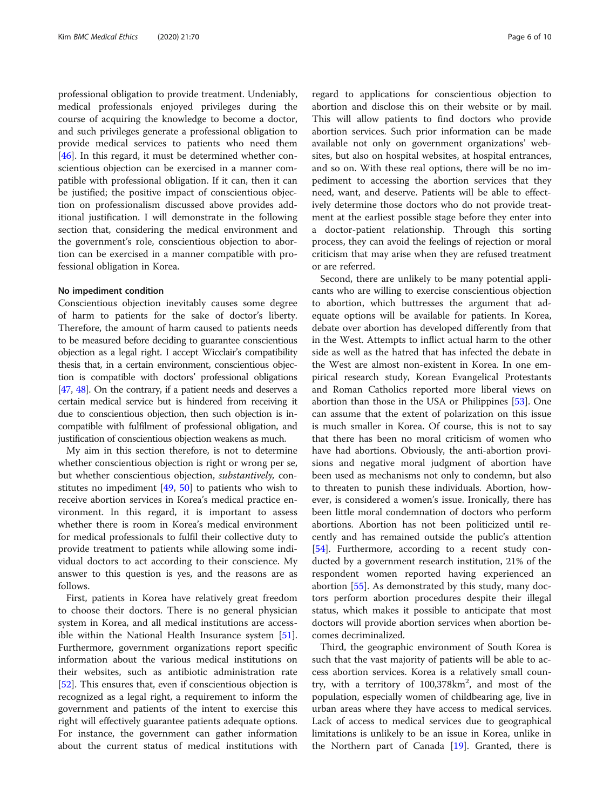professional obligation to provide treatment. Undeniably, medical professionals enjoyed privileges during the course of acquiring the knowledge to become a doctor, and such privileges generate a professional obligation to provide medical services to patients who need them [[46\]](#page-9-0). In this regard, it must be determined whether conscientious objection can be exercised in a manner compatible with professional obligation. If it can, then it can be justified; the positive impact of conscientious objection on professionalism discussed above provides additional justification. I will demonstrate in the following section that, considering the medical environment and the government's role, conscientious objection to abortion can be exercised in a manner compatible with professional obligation in Korea.

### No impediment condition

Conscientious objection inevitably causes some degree of harm to patients for the sake of doctor's liberty. Therefore, the amount of harm caused to patients needs to be measured before deciding to guarantee conscientious objection as a legal right. I accept Wicclair's compatibility thesis that, in a certain environment, conscientious objection is compatible with doctors' professional obligations [[47](#page-9-0), [48\]](#page-9-0). On the contrary, if a patient needs and deserves a certain medical service but is hindered from receiving it due to conscientious objection, then such objection is incompatible with fulfilment of professional obligation, and justification of conscientious objection weakens as much.

My aim in this section therefore, is not to determine whether conscientious objection is right or wrong per se, but whether conscientious objection, substantively, constitutes no impediment  $[49, 50]$  $[49, 50]$  $[49, 50]$  $[49, 50]$  $[49, 50]$  to patients who wish to receive abortion services in Korea's medical practice environment. In this regard, it is important to assess whether there is room in Korea's medical environment for medical professionals to fulfil their collective duty to provide treatment to patients while allowing some individual doctors to act according to their conscience. My answer to this question is yes, and the reasons are as follows.

First, patients in Korea have relatively great freedom to choose their doctors. There is no general physician system in Korea, and all medical institutions are accessible within the National Health Insurance system [\[51](#page-9-0)]. Furthermore, government organizations report specific information about the various medical institutions on their websites, such as antibiotic administration rate [[52\]](#page-9-0). This ensures that, even if conscientious objection is recognized as a legal right, a requirement to inform the government and patients of the intent to exercise this right will effectively guarantee patients adequate options. For instance, the government can gather information about the current status of medical institutions with regard to applications for conscientious objection to abortion and disclose this on their website or by mail. This will allow patients to find doctors who provide abortion services. Such prior information can be made available not only on government organizations' websites, but also on hospital websites, at hospital entrances, and so on. With these real options, there will be no impediment to accessing the abortion services that they need, want, and deserve. Patients will be able to effectively determine those doctors who do not provide treatment at the earliest possible stage before they enter into a doctor-patient relationship. Through this sorting process, they can avoid the feelings of rejection or moral criticism that may arise when they are refused treatment or are referred.

Second, there are unlikely to be many potential applicants who are willing to exercise conscientious objection to abortion, which buttresses the argument that adequate options will be available for patients. In Korea, debate over abortion has developed differently from that in the West. Attempts to inflict actual harm to the other side as well as the hatred that has infected the debate in the West are almost non-existent in Korea. In one empirical research study, Korean Evangelical Protestants and Roman Catholics reported more liberal views on abortion than those in the USA or Philippines [[53\]](#page-9-0). One can assume that the extent of polarization on this issue is much smaller in Korea. Of course, this is not to say that there has been no moral criticism of women who have had abortions. Obviously, the anti-abortion provisions and negative moral judgment of abortion have been used as mechanisms not only to condemn, but also to threaten to punish these individuals. Abortion, however, is considered a women's issue. Ironically, there has been little moral condemnation of doctors who perform abortions. Abortion has not been politicized until recently and has remained outside the public's attention [[54\]](#page-9-0). Furthermore, according to a recent study conducted by a government research institution, 21% of the respondent women reported having experienced an abortion [[55](#page-9-0)]. As demonstrated by this study, many doctors perform abortion procedures despite their illegal status, which makes it possible to anticipate that most doctors will provide abortion services when abortion becomes decriminalized.

Third, the geographic environment of South Korea is such that the vast majority of patients will be able to access abortion services. Korea is a relatively small country, with a territory of 100,378km<sup>2</sup>, and most of the population, especially women of childbearing age, live in urban areas where they have access to medical services. Lack of access to medical services due to geographical limitations is unlikely to be an issue in Korea, unlike in the Northern part of Canada [[19\]](#page-8-0). Granted, there is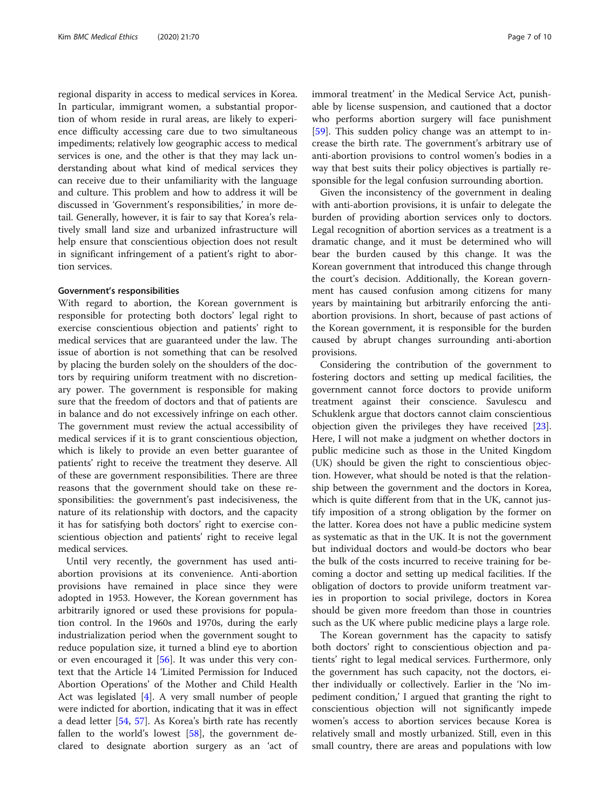regional disparity in access to medical services in Korea. In particular, immigrant women, a substantial proportion of whom reside in rural areas, are likely to experience difficulty accessing care due to two simultaneous impediments; relatively low geographic access to medical services is one, and the other is that they may lack understanding about what kind of medical services they can receive due to their unfamiliarity with the language and culture. This problem and how to address it will be discussed in 'Government's responsibilities,' in more detail. Generally, however, it is fair to say that Korea's relatively small land size and urbanized infrastructure will help ensure that conscientious objection does not result in significant infringement of a patient's right to abortion services.

### Government's responsibilities

With regard to abortion, the Korean government is responsible for protecting both doctors' legal right to exercise conscientious objection and patients' right to medical services that are guaranteed under the law. The issue of abortion is not something that can be resolved by placing the burden solely on the shoulders of the doctors by requiring uniform treatment with no discretionary power. The government is responsible for making sure that the freedom of doctors and that of patients are in balance and do not excessively infringe on each other. The government must review the actual accessibility of medical services if it is to grant conscientious objection, which is likely to provide an even better guarantee of patients' right to receive the treatment they deserve. All of these are government responsibilities. There are three reasons that the government should take on these responsibilities: the government's past indecisiveness, the nature of its relationship with doctors, and the capacity it has for satisfying both doctors' right to exercise conscientious objection and patients' right to receive legal medical services.

Until very recently, the government has used antiabortion provisions at its convenience. Anti-abortion provisions have remained in place since they were adopted in 1953. However, the Korean government has arbitrarily ignored or used these provisions for population control. In the 1960s and 1970s, during the early industrialization period when the government sought to reduce population size, it turned a blind eye to abortion or even encouraged it [[56\]](#page-9-0). It was under this very context that the Article 14 'Limited Permission for Induced Abortion Operations' of the Mother and Child Health Act was legislated [[4\]](#page-8-0). A very small number of people were indicted for abortion, indicating that it was in effect a dead letter [[54,](#page-9-0) [57](#page-9-0)]. As Korea's birth rate has recently fallen to the world's lowest [[58](#page-9-0)], the government declared to designate abortion surgery as an 'act of immoral treatment' in the Medical Service Act, punishable by license suspension, and cautioned that a doctor who performs abortion surgery will face punishment [[59\]](#page-9-0). This sudden policy change was an attempt to increase the birth rate. The government's arbitrary use of anti-abortion provisions to control women's bodies in a way that best suits their policy objectives is partially responsible for the legal confusion surrounding abortion.

Given the inconsistency of the government in dealing with anti-abortion provisions, it is unfair to delegate the burden of providing abortion services only to doctors. Legal recognition of abortion services as a treatment is a dramatic change, and it must be determined who will bear the burden caused by this change. It was the Korean government that introduced this change through the court's decision. Additionally, the Korean government has caused confusion among citizens for many years by maintaining but arbitrarily enforcing the antiabortion provisions. In short, because of past actions of the Korean government, it is responsible for the burden caused by abrupt changes surrounding anti-abortion provisions.

Considering the contribution of the government to fostering doctors and setting up medical facilities, the government cannot force doctors to provide uniform treatment against their conscience. Savulescu and Schuklenk argue that doctors cannot claim conscientious objection given the privileges they have received [\[23](#page-8-0)]. Here, I will not make a judgment on whether doctors in public medicine such as those in the United Kingdom (UK) should be given the right to conscientious objection. However, what should be noted is that the relationship between the government and the doctors in Korea, which is quite different from that in the UK, cannot justify imposition of a strong obligation by the former on the latter. Korea does not have a public medicine system as systematic as that in the UK. It is not the government but individual doctors and would-be doctors who bear the bulk of the costs incurred to receive training for becoming a doctor and setting up medical facilities. If the obligation of doctors to provide uniform treatment varies in proportion to social privilege, doctors in Korea should be given more freedom than those in countries such as the UK where public medicine plays a large role.

The Korean government has the capacity to satisfy both doctors' right to conscientious objection and patients' right to legal medical services. Furthermore, only the government has such capacity, not the doctors, either individually or collectively. Earlier in the 'No impediment condition,' I argued that granting the right to conscientious objection will not significantly impede women's access to abortion services because Korea is relatively small and mostly urbanized. Still, even in this small country, there are areas and populations with low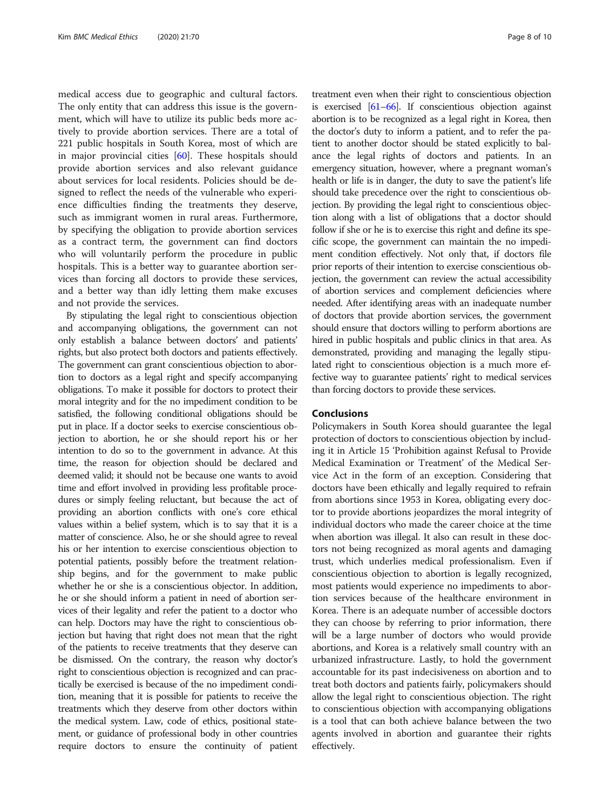medical access due to geographic and cultural factors. The only entity that can address this issue is the government, which will have to utilize its public beds more actively to provide abortion services. There are a total of 221 public hospitals in South Korea, most of which are in major provincial cities  $[60]$  $[60]$ . These hospitals should provide abortion services and also relevant guidance about services for local residents. Policies should be designed to reflect the needs of the vulnerable who experience difficulties finding the treatments they deserve, such as immigrant women in rural areas. Furthermore, by specifying the obligation to provide abortion services as a contract term, the government can find doctors who will voluntarily perform the procedure in public hospitals. This is a better way to guarantee abortion services than forcing all doctors to provide these services, and a better way than idly letting them make excuses and not provide the services.

By stipulating the legal right to conscientious objection and accompanying obligations, the government can not only establish a balance between doctors' and patients' rights, but also protect both doctors and patients effectively. The government can grant conscientious objection to abortion to doctors as a legal right and specify accompanying obligations. To make it possible for doctors to protect their moral integrity and for the no impediment condition to be satisfied, the following conditional obligations should be put in place. If a doctor seeks to exercise conscientious objection to abortion, he or she should report his or her intention to do so to the government in advance. At this time, the reason for objection should be declared and deemed valid; it should not be because one wants to avoid time and effort involved in providing less profitable procedures or simply feeling reluctant, but because the act of providing an abortion conflicts with one's core ethical values within a belief system, which is to say that it is a matter of conscience. Also, he or she should agree to reveal his or her intention to exercise conscientious objection to potential patients, possibly before the treatment relationship begins, and for the government to make public whether he or she is a conscientious objector. In addition, he or she should inform a patient in need of abortion services of their legality and refer the patient to a doctor who can help. Doctors may have the right to conscientious objection but having that right does not mean that the right of the patients to receive treatments that they deserve can be dismissed. On the contrary, the reason why doctor's right to conscientious objection is recognized and can practically be exercised is because of the no impediment condition, meaning that it is possible for patients to receive the treatments which they deserve from other doctors within the medical system. Law, code of ethics, positional statement, or guidance of professional body in other countries require doctors to ensure the continuity of patient treatment even when their right to conscientious objection is exercised [\[61](#page-9-0)–[66\]](#page-9-0). If conscientious objection against abortion is to be recognized as a legal right in Korea, then the doctor's duty to inform a patient, and to refer the patient to another doctor should be stated explicitly to balance the legal rights of doctors and patients. In an emergency situation, however, where a pregnant woman's health or life is in danger, the duty to save the patient's life should take precedence over the right to conscientious objection. By providing the legal right to conscientious objection along with a list of obligations that a doctor should follow if she or he is to exercise this right and define its specific scope, the government can maintain the no impediment condition effectively. Not only that, if doctors file prior reports of their intention to exercise conscientious objection, the government can review the actual accessibility of abortion services and complement deficiencies where needed. After identifying areas with an inadequate number of doctors that provide abortion services, the government should ensure that doctors willing to perform abortions are hired in public hospitals and public clinics in that area. As demonstrated, providing and managing the legally stipulated right to conscientious objection is a much more effective way to guarantee patients' right to medical services than forcing doctors to provide these services.

# Conclusions

Policymakers in South Korea should guarantee the legal protection of doctors to conscientious objection by including it in Article 15 'Prohibition against Refusal to Provide Medical Examination or Treatment' of the Medical Service Act in the form of an exception. Considering that doctors have been ethically and legally required to refrain from abortions since 1953 in Korea, obligating every doctor to provide abortions jeopardizes the moral integrity of individual doctors who made the career choice at the time when abortion was illegal. It also can result in these doctors not being recognized as moral agents and damaging trust, which underlies medical professionalism. Even if conscientious objection to abortion is legally recognized, most patients would experience no impediments to abortion services because of the healthcare environment in Korea. There is an adequate number of accessible doctors they can choose by referring to prior information, there will be a large number of doctors who would provide abortions, and Korea is a relatively small country with an urbanized infrastructure. Lastly, to hold the government accountable for its past indecisiveness on abortion and to treat both doctors and patients fairly, policymakers should allow the legal right to conscientious objection. The right to conscientious objection with accompanying obligations is a tool that can both achieve balance between the two agents involved in abortion and guarantee their rights effectively.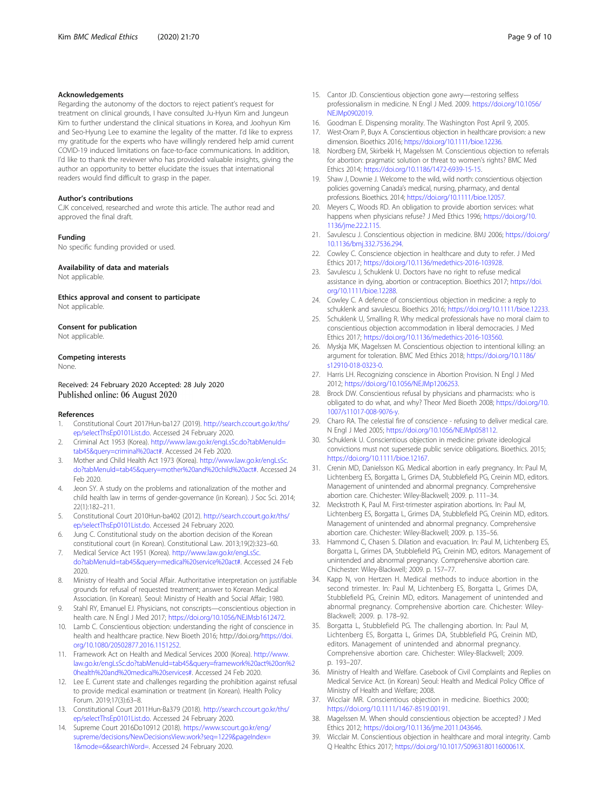#### <span id="page-8-0"></span>Acknowledgements

Regarding the autonomy of the doctors to reject patient's request for treatment on clinical grounds, I have consulted Ju-Hyun Kim and Jungeun Kim to further understand the clinical situations in Korea, and Joohyun Kim and Seo-Hyung Lee to examine the legality of the matter. I'd like to express my gratitude for the experts who have willingly rendered help amid current COVID-19 induced limitations on face-to-face communications. In addition, I'd like to thank the reviewer who has provided valuable insights, giving the author an opportunity to better elucidate the issues that international readers would find difficult to grasp in the paper.

#### Author's contributions

CJK conceived, researched and wrote this article. The author read and approved the final draft.

### Funding

No specific funding provided or used.

# Availability of data and materials

Not applicable.

#### Ethics approval and consent to participate

Not applicable.

#### Consent for publication

Not applicable.

### Competing interests

None.

Received: 24 February 2020 Accepted: 28 July 2020 Published online: 06 August 2020

#### References

- 1. Constitutional Court 2017Hun-ba127 (2019). [http://search.ccourt.go.kr/ths/](http://search.ccourt.go.kr/ths/ep/selectThsEp0101List.do) [ep/selectThsEp0101List.do](http://search.ccourt.go.kr/ths/ep/selectThsEp0101List.do). Accessed 24 February 2020.
- 2. Criminal Act 1953 (Korea). [http://www.law.go.kr/engLsSc.do?tabMenuId=](http://www.law.go.kr/engLsSc.do?tabMenuId=tab45&query=criminal%20act#) [tab45&query=criminal%20act#](http://www.law.go.kr/engLsSc.do?tabMenuId=tab45&query=criminal%20act#). Accessed 24 Feb 2020.
- 3. Mother and Child Health Act 1973 (Korea). [http://www.law.go.kr/engLsSc.](https://www.law.go.kr/engLsSc.do?tabMenuId=tab45&query=mother%20and%20child%20act#) [do?tabMenuId=tab45&query=mother%20and%20child%20act#.](https://www.law.go.kr/engLsSc.do?tabMenuId=tab45&query=mother%20and%20child%20act#) Accessed 24 Feb 2020.
- 4. Jeon SY. A study on the problems and rationalization of the mother and child health law in terms of gender-governance (in Korean). J Soc Sci. 2014; 22(1):182–211.
- 5. Constitutional Court 2010Hun-ba402 (2012). [http://search.ccourt.go.kr/ths/](http://search.ccourt.go.kr/ths/ep/selectThsEp0101List.do) [ep/selectThsEp0101List.do](http://search.ccourt.go.kr/ths/ep/selectThsEp0101List.do). Accessed 24 February 2020.
- Jung C. Constitutional study on the abortion decision of the Korean constitutional court (in Korean). Constitutional Law. 2013;19(2):323–60.
- 7. Medical Service Act 1951 (Korea). [http://www.law.go.kr/engLsSc.](http://www.law.go.kr/engLsSc.do?tabMenuId=tab45&query=medical%20service%20act#) [do?tabMenuId=tab45&query=medical%20service%20act#.](http://www.law.go.kr/engLsSc.do?tabMenuId=tab45&query=medical%20service%20act#) Accessed 24 Feb 2020.
- 8. Ministry of Health and Social Affair. Authoritative interpretation on justifiable grounds for refusal of requested treatment; answer to Korean Medical Association. (in Korean). Seoul: Ministry of Health and Social Affair; 1980.
- 9. Stahl RY, Emanuel EJ. Physicians, not conscripts—conscientious objection in health care. N Engl J Med 2017; [https://doi.org/10.1056/NEJMsb1612472.](https://doi.org/10.1056/NEJMsb1612472)
- 10. Lamb C. Conscientious objection: understanding the right of conscience in health and healthcare practice. New Bioeth 2016; http://doi.org[/https://doi.](https://doi.org/10.1080/20502877.2016.1151252) [org/10.1080/20502877.2016.1151252](https://doi.org/10.1080/20502877.2016.1151252).
- 11. Framework Act on Health and Medical Services 2000 (Korea). [http://www.](http://www.law.go.kr/engLsSc.do?tabMenuId=tab45&query=framework%20act%20on%20health%20and%20medical%20services#) [law.go.kr/engLsSc.do?tabMenuId=tab45&query=framework%20act%20on%2](http://www.law.go.kr/engLsSc.do?tabMenuId=tab45&query=framework%20act%20on%20health%20and%20medical%20services#) [0health%20and%20medical%20services#](http://www.law.go.kr/engLsSc.do?tabMenuId=tab45&query=framework%20act%20on%20health%20and%20medical%20services#). Accessed 24 Feb 2020.
- 12. Lee E. Current state and challenges regarding the prohibition against refusal to provide medical examination or treatment (in Korean). Health Policy Forum. 2019;17(3):63–8.
- 13. Constitutional Court 2011Hun-Ba379 (2018). [http://search.ccourt.go.kr/ths/](http://search.ccourt.go.kr/ths/ep/selectThsEp0101List.do) [ep/selectThsEp0101List.do](http://search.ccourt.go.kr/ths/ep/selectThsEp0101List.do). Accessed 24 February 2020.
- 14. Supreme Court 2016Do10912 (2018). [https://www.scourt.go.kr/eng/](https://www.scourt.go.kr/eng/supreme/decisions/NewDecisionsView.work?seq=1229&pageIndex=1&mode=6&searchWord=) [supreme/decisions/NewDecisionsView.work?seq=1229&pageIndex=](https://www.scourt.go.kr/eng/supreme/decisions/NewDecisionsView.work?seq=1229&pageIndex=1&mode=6&searchWord=) [1&mode=6&searchWord=](https://www.scourt.go.kr/eng/supreme/decisions/NewDecisionsView.work?seq=1229&pageIndex=1&mode=6&searchWord=). Accessed 24 February 2020.
- 15. Cantor JD. Conscientious objection gone awry—restoring selfless professionalism in medicine. N Engl J Med. 2009. [https://doi.org/10.1056/](https://doi.org/10.1056/NEJMp0902019) [NEJMp0902019](https://doi.org/10.1056/NEJMp0902019).
- 16. Goodman E. Dispensing morality. The Washington Post April 9, 2005.
- 17. West-Oram P, Buyx A. Conscientious objection in healthcare provision: a new dimension. Bioethics 2016; [https://doi.org/10.1111/bioe.12236.](https://doi.org/10.1111/bioe.12236)
- Nordberg EM, Skirbekk H, Magelssen M. Conscientious objection to referrals for abortion: pragmatic solution or threat to women's rights? BMC Med Ethics 2014; [https://doi.org/10.1186/1472-6939-15-15.](https://doi.org/10.1186/1472-6939-15-15)
- 19. Shaw J, Downie J. Welcome to the wild, wild north: conscientious objection policies governing Canada's medical, nursing, pharmacy, and dental professions. Bioethics. 2014; <https://doi.org/10.1111/bioe.12057>.
- 20. Meyers C, Woods RD. An obligation to provide abortion services: what happens when physicians refuse? J Med Ethics 1996; [https://doi.org/10.](https://doi.org/10.1136/jme.22.2.115) [1136/jme.22.2.115.](https://doi.org/10.1136/jme.22.2.115)
- 21. Savulescu J. Conscientious objection in medicine. BMJ 2006; [https://doi.org/](https://doi.org/10.1136/bmj.332.7536.294) [10.1136/bmj.332.7536.294.](https://doi.org/10.1136/bmj.332.7536.294)
- 22. Cowley C. Conscience objection in healthcare and duty to refer. J Med Ethics 2017; <https://doi.org/10.1136/medethics-2016-103928>.
- 23. Savulescu J, Schuklenk U. Doctors have no right to refuse medical assistance in dying, abortion or contraception. Bioethics 2017; [https://doi.](https://doi.org/10.1111/bioe.12288) [org/10.1111/bioe.12288.](https://doi.org/10.1111/bioe.12288)
- 24. Cowley C. A defence of conscientious objection in medicine: a reply to schuklenk and savulescu. Bioethics 2016; <https://doi.org/10.1111/bioe.12233>.
- 25. Schuklenk U, Smalling R. Why medical professionals have no moral claim to conscientious objection accommodation in liberal democracies. J Med Ethics 2017; <https://doi.org/10.1136/medethics-2016-103560>.
- 26. Myskja MK, Magelssen M. Conscientious objection to intentional killing: an argument for toleration. BMC Med Ethics 2018; [https://doi.org/10.1186/](https://doi.org/10.1186/s12910-018-0323-0) [s12910-018-0323-0.](https://doi.org/10.1186/s12910-018-0323-0)
- 27. Harris LH. Recognizing conscience in Abortion Provision. N Engl J Med 2012; <https://doi.org/10.1056/NEJMp1206253>.
- 28. Brock DW. Conscientious refusal by physicians and pharmacists: who is obligated to do what, and why? Theor Med Bioeth 2008; [https://doi.org/10.](https://doi.org/10.1007/s11017-008-9076-y) [1007/s11017-008-9076-y.](https://doi.org/10.1007/s11017-008-9076-y)
- 29. Charo RA. The celestial fire of conscience refusing to deliver medical care. N Engl J Med 2005; [https://doi.org/10.1056/NEJMp058112.](https://doi.org/10.1056/NEJMp058112)
- 30. Schuklenk U. Conscientious objection in medicine: private ideological convictions must not supersede public service obligations. Bioethics. 2015; [https://doi.org/10.1111/bioe.12167.](https://doi.org/10.1111/bioe.12167)
- 31. Crenin MD, Danielsson KG. Medical abortion in early pregnancy. In: Paul M, Lichtenberg ES, Borgatta L, Grimes DA, Stubblefield PG, Creinin MD, editors. Management of unintended and abnormal pregnancy. Comprehensive abortion care. Chichester: Wiley-Blackwell; 2009. p. 111–34.
- 32. Meckstroth K, Paul M. First-trimester aspiration abortions. In: Paul M, Lichtenberg ES, Borgatta L, Grimes DA, Stubblefield PG, Creinin MD, editors. Management of unintended and abnormal pregnancy. Comprehensive abortion care. Chichester: Wiley-Blackwell; 2009. p. 135–56.
- 33. Hammond C, Chasen S. Dilation and evacuation. In: Paul M, Lichtenberg ES, Borgatta L, Grimes DA, Stubblefield PG, Creinin MD, editors. Management of unintended and abnormal pregnancy. Comprehensive abortion care. Chichester: Wiley-Blackwell; 2009. p. 157–77.
- 34. Kapp N, von Hertzen H. Medical methods to induce abortion in the second trimester. In: Paul M, Lichtenberg ES, Borgatta L, Grimes DA, Stubblefield PG, Creinin MD, editors. Management of unintended and abnormal pregnancy. Comprehensive abortion care. Chichester: Wiley-Blackwell; 2009. p. 178–92.
- 35. Borgatta L, Stubblefield PG. The challenging abortion. In: Paul M, Lichtenberg ES, Borgatta L, Grimes DA, Stubblefield PG, Creinin MD, editors. Management of unintended and abnormal pregnancy. Comprehensive abortion care. Chichester: Wiley-Blackwell; 2009. p. 193–207.
- 36. Ministry of Health and Welfare. Casebook of Civil Complaints and Replies on Medical Service Act. (in Korean) Seoul: Health and Medical Policy Office of Ministry of Health and Welfare; 2008.
- 37. Wicclair MR. Conscientious objection in medicine. Bioethics 2000; <https://doi.org/10.1111/1467-8519.00191>.
- 38. Magelssen M. When should conscientious objection be accepted? J Med Ethics 2012; [https://doi.org/10.1136/jme.2011.043646.](https://doi.org/10.1136/jme.2011.043646)
- 39. Wicclair M. Conscientious objection in healthcare and moral integrity. Camb Q Healthc Ethics 2017; <https://doi.org/10.1017/S096318011600061X>.